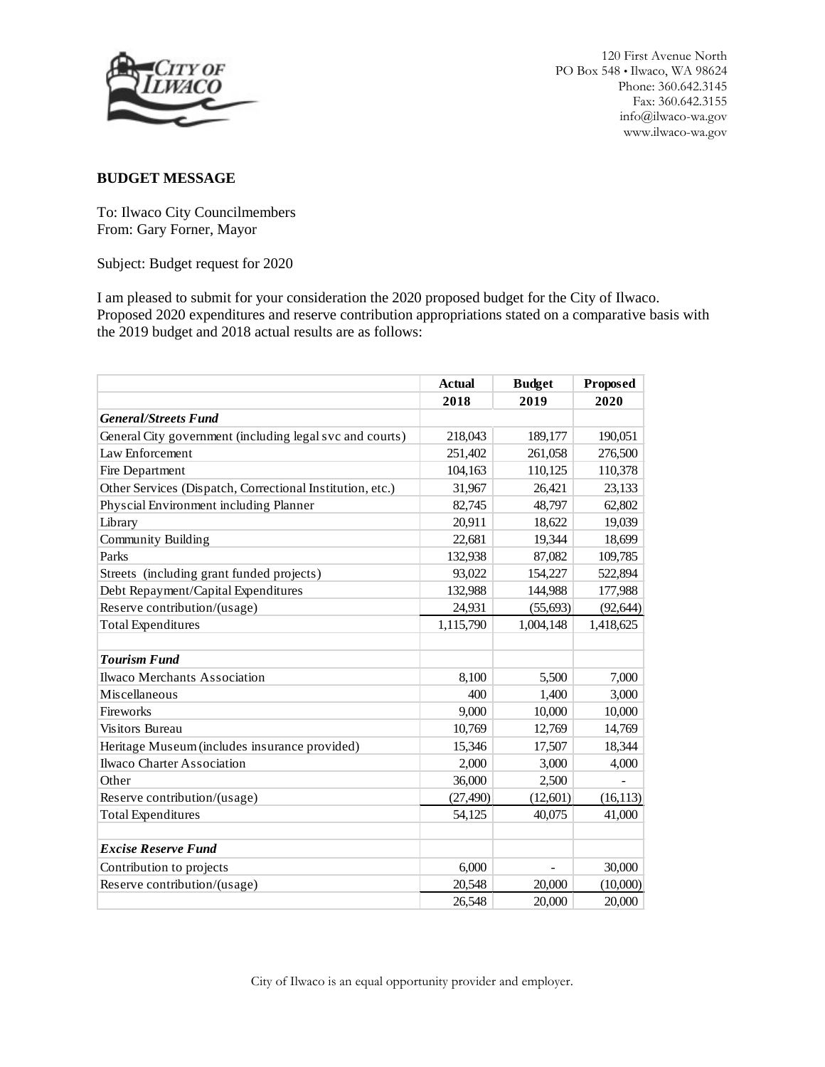

### **BUDGET MESSAGE**

To: Ilwaco City Councilmembers From: Gary Forner, Mayor

Subject: Budget request for 2020

I am pleased to submit for your consideration the 2020 proposed budget for the City of Ilwaco. Proposed 2020 expenditures and reserve contribution appropriations stated on a comparative basis with the 2019 budget and 2018 actual results are as follows:

|                                                           | <b>Actual</b> | <b>Budget</b> | Proposed  |
|-----------------------------------------------------------|---------------|---------------|-----------|
|                                                           | 2018          | 2019          | 2020      |
| <b>General/Streets Fund</b>                               |               |               |           |
| General City government (including legal svc and courts)  | 218,043       | 189,177       | 190,051   |
| Law Enforcement                                           | 251,402       | 261,058       | 276,500   |
| Fire Department                                           | 104,163       | 110,125       | 110,378   |
| Other Services (Dispatch, Correctional Institution, etc.) | 31,967        | 26,421        | 23,133    |
| Physcial Environment including Planner                    | 82,745        | 48,797        | 62,802    |
| Library                                                   | 20,911        | 18,622        | 19,039    |
| Community Building                                        | 22,681        | 19,344        | 18,699    |
| Parks                                                     | 132,938       | 87,082        | 109,785   |
| Streets (including grant funded projects)                 | 93,022        | 154,227       | 522,894   |
| Debt Repayment/Capital Expenditures                       | 132,988       | 144,988       | 177,988   |
| Reserve contribution/(usage)                              | 24,931        | (55, 693)     | (92, 644) |
| <b>Total Expenditures</b>                                 | 1,115,790     | 1,004,148     | 1,418,625 |
| <b>Tourism Fund</b>                                       |               |               |           |
| Ilwaco Merchants Association                              | 8,100         | 5,500         | 7,000     |
| Miscellaneous                                             | 400           | 1,400         | 3,000     |
| Fireworks                                                 | 9.000         | 10,000        | 10,000    |
| Visitors Bureau                                           | 10,769        | 12,769        | 14,769    |
| Heritage Museum (includes insurance provided)             | 15,346        | 17,507        | 18,344    |
| <b>Ilwaco Charter Association</b>                         | 2,000         | 3,000         | 4,000     |
| Other                                                     | 36,000        | 2,500         |           |
| Reserve contribution/(usage)                              | (27, 490)     | (12,601)      | (16, 113) |
| <b>Total Expenditures</b>                                 | 54,125        | 40,075        | 41,000    |
| <b>Excise Reserve Fund</b>                                |               |               |           |
| Contribution to projects                                  | 6,000         |               | 30,000    |
| Reserve contribution/(usage)                              | 20,548        | 20,000        | (10,000)  |
|                                                           | 26,548        | 20,000        | 20,000    |

City of Ilwaco is an equal opportunity provider and employer.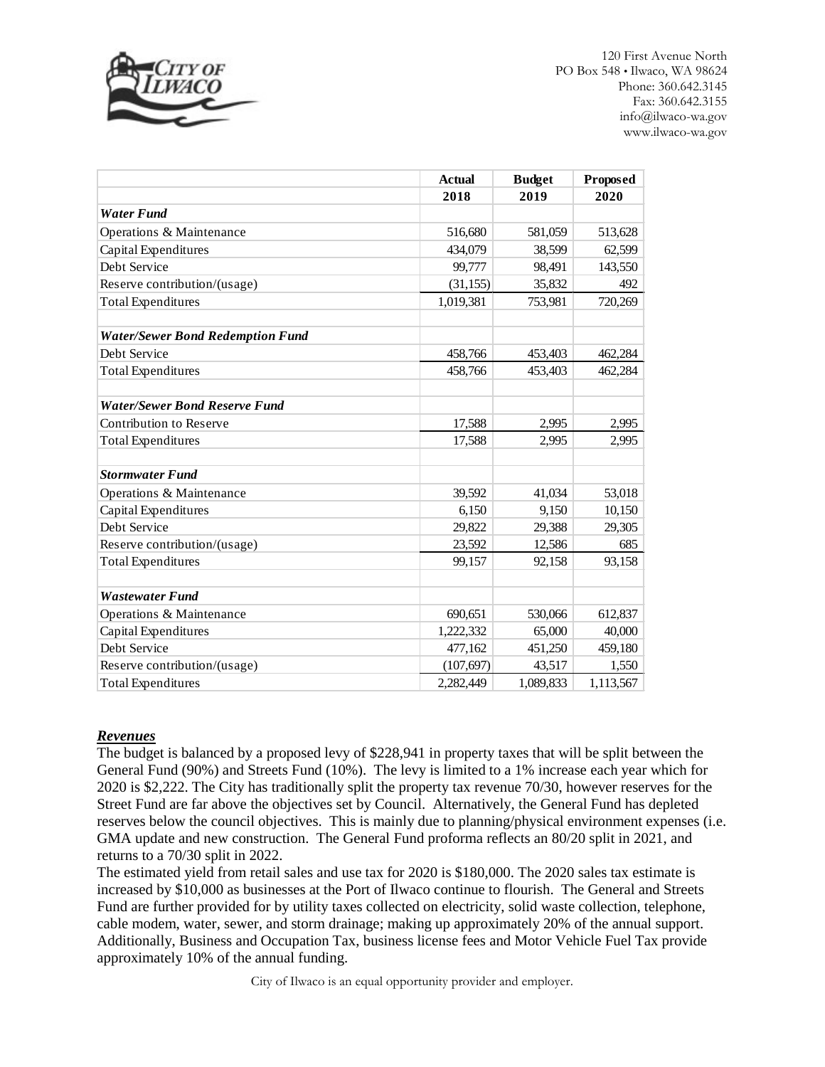

|                                         | <b>Actual</b> | <b>Budget</b> | Proposed  |
|-----------------------------------------|---------------|---------------|-----------|
|                                         | 2018          | 2019          | 2020      |
| <b>Water Fund</b>                       |               |               |           |
| Operations & Maintenance                | 516,680       | 581,059       | 513,628   |
| Capital Expenditures                    | 434,079       | 38,599        | 62,599    |
| Debt Service                            | 99,777        | 98,491        | 143,550   |
| Reserve contribution/(usage)            | (31, 155)     | 35,832        | 492       |
| <b>Total Expenditures</b>               | 1,019,381     | 753,981       | 720,269   |
| <b>Water/Sewer Bond Redemption Fund</b> |               |               |           |
| Debt Service                            | 458,766       | 453,403       | 462,284   |
| <b>Total Expenditures</b>               | 458,766       | 453,403       | 462,284   |
| <b>Water/Sewer Bond Reserve Fund</b>    |               |               |           |
| Contribution to Reserve                 | 17,588        | 2,995         | 2,995     |
| <b>Total Expenditures</b>               | 17,588        | 2,995         | 2,995     |
| <b>Stormwater Fund</b>                  |               |               |           |
| Operations & Maintenance                | 39,592        | 41,034        | 53,018    |
| Capital Expenditures                    | 6,150         | 9.150         | 10,150    |
| Debt Service                            | 29,822        | 29,388        | 29,305    |
| Reserve contribution/(usage)            | 23,592        | 12,586        | 685       |
| <b>Total Expenditures</b>               | 99,157        | 92,158        | 93,158    |
| <b>Wastewater Fund</b>                  |               |               |           |
| Operations & Maintenance                | 690,651       | 530,066       | 612,837   |
| Capital Expenditures                    | 1,222,332     | 65,000        | 40,000    |
| Debt Service                            | 477,162       | 451,250       | 459,180   |
| Reserve contribution/(usage)            | (107, 697)    | 43,517        | 1,550     |
| <b>Total Expenditures</b>               | 2.282,449     | 1.089.833     | 1,113,567 |

#### *Revenues*

The budget is balanced by a proposed levy of \$228,941 in property taxes that will be split between the General Fund (90%) and Streets Fund (10%). The levy is limited to a 1% increase each year which for 2020 is \$2,222. The City has traditionally split the property tax revenue 70/30, however reserves for the Street Fund are far above the objectives set by Council. Alternatively, the General Fund has depleted reserves below the council objectives. This is mainly due to planning/physical environment expenses (i.e. GMA update and new construction. The General Fund proforma reflects an 80/20 split in 2021, and returns to a 70/30 split in 2022.

The estimated yield from retail sales and use tax for 2020 is \$180,000. The 2020 sales tax estimate is increased by \$10,000 as businesses at the Port of Ilwaco continue to flourish. The General and Streets Fund are further provided for by utility taxes collected on electricity, solid waste collection, telephone, cable modem, water, sewer, and storm drainage; making up approximately 20% of the annual support. Additionally, Business and Occupation Tax, business license fees and Motor Vehicle Fuel Tax provide approximately 10% of the annual funding.

City of Ilwaco is an equal opportunity provider and employer.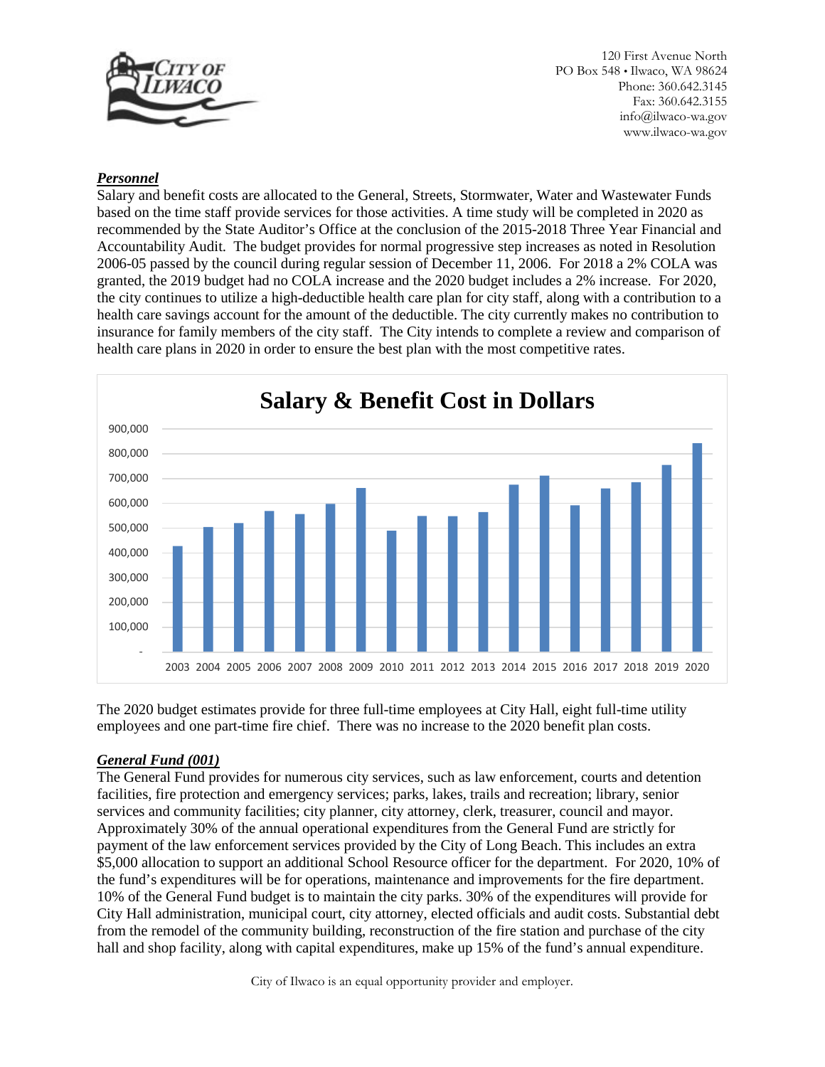

### *Personnel*

Salary and benefit costs are allocated to the General, Streets, Stormwater, Water and Wastewater Funds based on the time staff provide services for those activities. A time study will be completed in 2020 as recommended by the State Auditor's Office at the conclusion of the 2015-2018 Three Year Financial and Accountability Audit. The budget provides for normal progressive step increases as noted in Resolution 2006-05 passed by the council during regular session of December 11, 2006. For 2018 a 2% COLA was granted, the 2019 budget had no COLA increase and the 2020 budget includes a 2% increase. For 2020, the city continues to utilize a high-deductible health care plan for city staff, along with a contribution to a health care savings account for the amount of the deductible. The city currently makes no contribution to insurance for family members of the city staff. The City intends to complete a review and comparison of health care plans in 2020 in order to ensure the best plan with the most competitive rates.



The 2020 budget estimates provide for three full-time employees at City Hall, eight full-time utility employees and one part-time fire chief. There was no increase to the 2020 benefit plan costs.

#### *General Fund (001)*

The General Fund provides for numerous city services, such as law enforcement, courts and detention facilities, fire protection and emergency services; parks, lakes, trails and recreation; library, senior services and community facilities; city planner, city attorney, clerk, treasurer, council and mayor. Approximately 30% of the annual operational expenditures from the General Fund are strictly for payment of the law enforcement services provided by the City of Long Beach. This includes an extra \$5,000 allocation to support an additional School Resource officer for the department. For 2020, 10% of the fund's expenditures will be for operations, maintenance and improvements for the fire department. 10% of the General Fund budget is to maintain the city parks. 30% of the expenditures will provide for City Hall administration, municipal court, city attorney, elected officials and audit costs. Substantial debt from the remodel of the community building, reconstruction of the fire station and purchase of the city hall and shop facility, along with capital expenditures, make up 15% of the fund's annual expenditure.

City of Ilwaco is an equal opportunity provider and employer.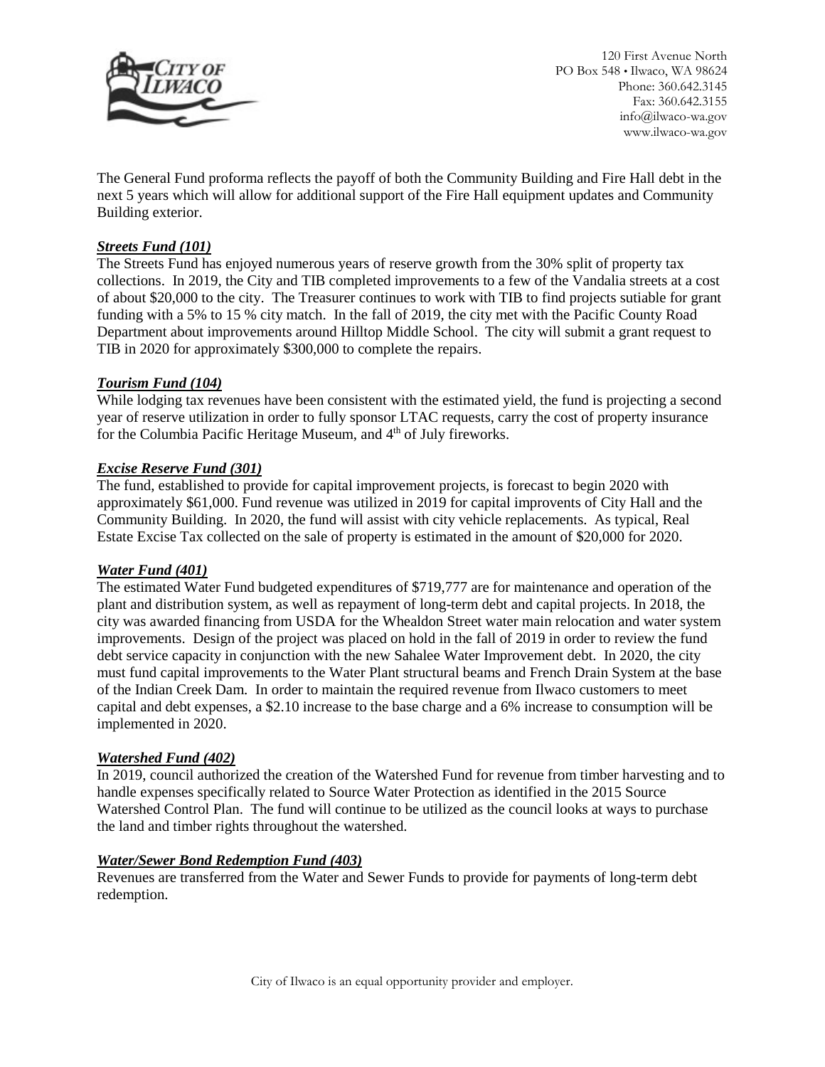

The General Fund proforma reflects the payoff of both the Community Building and Fire Hall debt in the next 5 years which will allow for additional support of the Fire Hall equipment updates and Community Building exterior.

# *Streets Fund (101)*

The Streets Fund has enjoyed numerous years of reserve growth from the 30% split of property tax collections. In 2019, the City and TIB completed improvements to a few of the Vandalia streets at a cost of about \$20,000 to the city. The Treasurer continues to work with TIB to find projects sutiable for grant funding with a 5% to 15 % city match. In the fall of 2019, the city met with the Pacific County Road Department about improvements around Hilltop Middle School. The city will submit a grant request to TIB in 2020 for approximately \$300,000 to complete the repairs.

#### *Tourism Fund (104)*

While lodging tax revenues have been consistent with the estimated yield, the fund is projecting a second year of reserve utilization in order to fully sponsor LTAC requests, carry the cost of property insurance for the Columbia Pacific Heritage Museum, and 4<sup>th</sup> of July fireworks.

## *Excise Reserve Fund (301)*

The fund, established to provide for capital improvement projects, is forecast to begin 2020 with approximately \$61,000. Fund revenue was utilized in 2019 for capital improvents of City Hall and the Community Building. In 2020, the fund will assist with city vehicle replacements. As typical, Real Estate Excise Tax collected on the sale of property is estimated in the amount of \$20,000 for 2020.

#### *Water Fund (401)*

The estimated Water Fund budgeted expenditures of \$719,777 are for maintenance and operation of the plant and distribution system, as well as repayment of long-term debt and capital projects. In 2018, the city was awarded financing from USDA for the Whealdon Street water main relocation and water system improvements. Design of the project was placed on hold in the fall of 2019 in order to review the fund debt service capacity in conjunction with the new Sahalee Water Improvement debt. In 2020, the city must fund capital improvements to the Water Plant structural beams and French Drain System at the base of the Indian Creek Dam. In order to maintain the required revenue from Ilwaco customers to meet capital and debt expenses, a \$2.10 increase to the base charge and a 6% increase to consumption will be implemented in 2020.

#### *Watershed Fund (402)*

In 2019, council authorized the creation of the Watershed Fund for revenue from timber harvesting and to handle expenses specifically related to Source Water Protection as identified in the 2015 Source Watershed Control Plan. The fund will continue to be utilized as the council looks at ways to purchase the land and timber rights throughout the watershed.

#### *Water/Sewer Bond Redemption Fund (403)*

Revenues are transferred from the Water and Sewer Funds to provide for payments of long-term debt redemption.